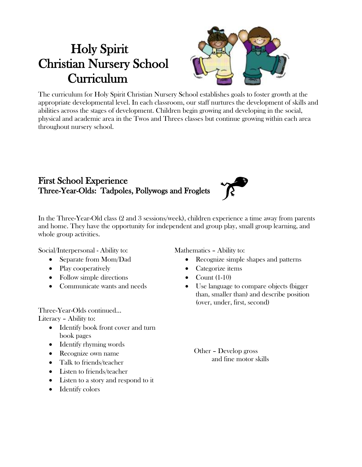# Holy Spirit Christian Nursery School Curriculum



The curriculum for Holy Spirit Christian Nursery School establishes goals to foster growth at the appropriate developmental level. In each classroom, our staff nurtures the development of skills and abilities across the stages of development. Children begin growing and developing in the social, physical and academic area in the Twos and Threes classes but continue growing within each area throughout nursery school.

#### First School Experience Three-Year-Olds: Tadpoles, Pollywogs and Froglets



In the Three-Year-Old class (2 and 3 sessions/week), children experience a time away from parents and home. They have the opportunity for independent and group play, small group learning, and whole group activities.

Social/Interpersonal - Ability to:

- Separate from Mom/Dad
- Play cooperatively
- Follow simple directions
- Communicate wants and needs

Three-Year-Olds continued…

Literacy – Ability to:

- Identify book front cover and turn book pages
- Identify rhyming words
- Recognize own name
- Talk to friends/teacher
- Listen to friends/teacher
- Listen to a story and respond to it
- Identify colors

Mathematics – Ability to:

- Recognize simple shapes and patterns
- Categorize items
- $\bullet$  Count (1-10)
- Use language to compare objects (bigger than, smaller than) and describe position (over, under, first, second)

 Other – Develop gross and fine motor skills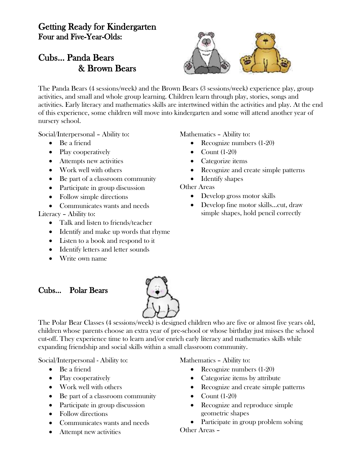### Getting Ready for Kindergarten Four and Five-Year-Olds:

## Cubs… Panda Bears & Brown Bears



The Panda Bears (4 sessions/week) and the Brown Bears (3 sessions/week) experience play, group activities, and small and whole group learning. Children learn through play, stories, songs and activities. Early literacy and mathematics skills are intertwined within the activities and play. At the end of this experience, some children will move into kindergarten and some will attend another year of nursery school.

Social/Interpersonal – Ability to:

- Be a friend
- Play cooperatively
- Attempts new activities
- Work well with others
- Be part of a classroom community
- Participate in group discussion
- Follow simple directions
- Communicates wants and needs

Literacy – Ability to:

- Talk and listen to friends/teacher
- Identify and make up words that rhyme
- Listen to a book and respond to it
- Identify letters and letter sounds
- Write own name

#### Cubs… Polar Bears



The Polar Bear Classes (4 sessions/week) is designed children who are five or almost five years old, children whose parents choose an extra year of pre-school or whose birthday just misses the school cut-off. They experience time to learn and/or enrich early literacy and mathematics skills while expanding friendship and social skills within a small classroom community.

Social/Interpersonal - Ability to:

- Be a friend
- Play cooperatively
- Work well with others
- Be part of a classroom community
- Participate in group discussion
- Follow directions
- Communicates wants and needs
- Attempt new activities

Mathematics – Ability to:

- Recognize numbers (1-20)
- Categorize items by attribute
- Recognize and create simple patterns
- $\bullet$  Count (1-20)
- Recognize and reproduce simple geometric shapes
- Participate in group problem solving

Other Areas –

Mathematics – Ability to:

- Recognize numbers (1-20)
- $\bullet$  Count (1-20)
- Categorize items
- Recognize and create simple patterns
- Identify shapes

Other Areas

- Develop gross motor skills
- Develop fine motor skills…cut, draw simple shapes, hold pencil correctly